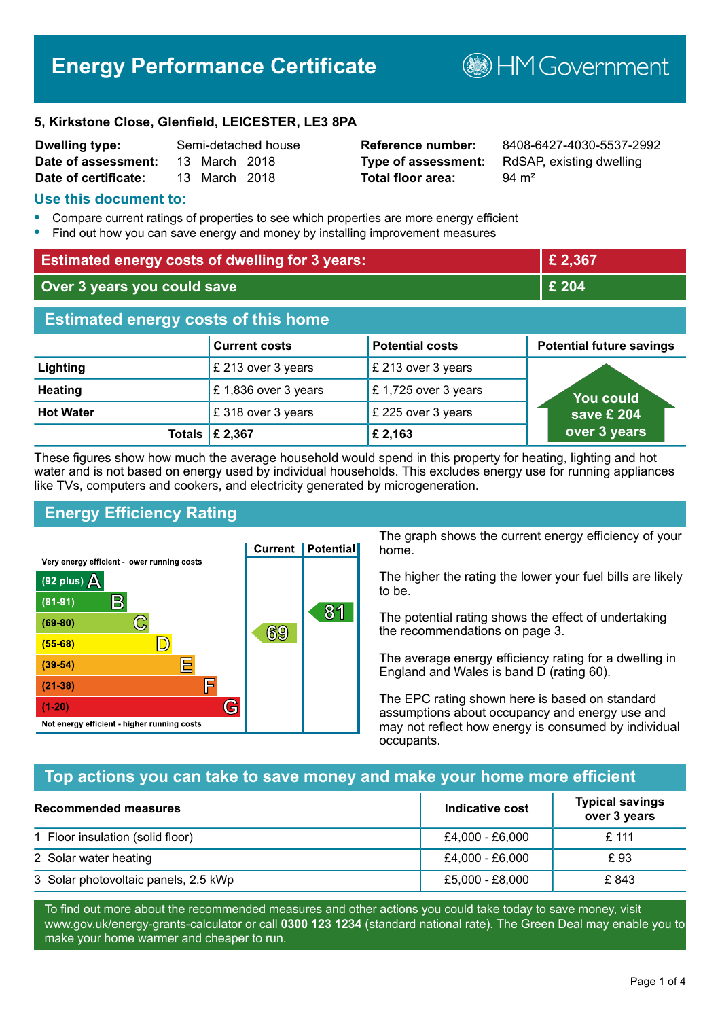# **Energy Performance Certificate**

**B**HM Government

#### **5, Kirkstone Close, Glenfield, LEICESTER, LE3 8PA**

| <b>Dwelling type:</b> | Semi-detached house |               |  |
|-----------------------|---------------------|---------------|--|
| Date of assessment:   |                     | 13 March 2018 |  |
| Date of certificate:  |                     | 13 March 2018 |  |

# **Total floor area:** 94 m<sup>2</sup>

**Reference number:** 8408-6427-4030-5537-2992 **Type of assessment:** RdSAP, existing dwelling

# **Use this document to:**

- **•** Compare current ratings of properties to see which properties are more energy efficient
- **•** Find out how you can save energy and money by installing improvement measures

| <b>Estimated energy costs of dwelling for 3 years:</b> |                           |                        | £ 2,367                         |
|--------------------------------------------------------|---------------------------|------------------------|---------------------------------|
| Over 3 years you could save                            |                           | £ 204                  |                                 |
| <b>Estimated energy costs of this home</b>             |                           |                        |                                 |
|                                                        | <b>Current costs</b>      | <b>Potential costs</b> | <b>Potential future savings</b> |
| Lighting                                               | £ 213 over 3 years        | £ 213 over 3 years     |                                 |
| <b>Heating</b>                                         | £1,836 over 3 years       | £1,725 over 3 years    | <b>You could</b>                |
| <b>Hot Water</b>                                       | £318 over 3 years         | £ 225 over 3 years     | save £ 204                      |
|                                                        | Totals $\mathsf{E}$ 2,367 | £ 2,163                | over 3 years                    |

These figures show how much the average household would spend in this property for heating, lighting and hot water and is not based on energy used by individual households. This excludes energy use for running appliances like TVs, computers and cookers, and electricity generated by microgeneration.

# **Energy Efficiency Rating**



The graph shows the current energy efficiency of your home.

The higher the rating the lower your fuel bills are likely to be.

The potential rating shows the effect of undertaking the recommendations on page 3.

The average energy efficiency rating for a dwelling in England and Wales is band D (rating 60).

The EPC rating shown here is based on standard assumptions about occupancy and energy use and may not reflect how energy is consumed by individual occupants.

# **Top actions you can take to save money and make your home more efficient**

| <b>Recommended measures</b>          | Indicative cost | <b>Typical savings</b><br>over 3 years |
|--------------------------------------|-----------------|----------------------------------------|
| 1 Floor insulation (solid floor)     | £4,000 - £6,000 | £ 111                                  |
| 2 Solar water heating                | £4,000 - £6,000 | £ 93                                   |
| 3 Solar photovoltaic panels, 2.5 kWp | £5,000 - £8,000 | £843                                   |

To find out more about the recommended measures and other actions you could take today to save money, visit www.gov.uk/energy-grants-calculator or call **0300 123 1234** (standard national rate). The Green Deal may enable you to make your home warmer and cheaper to run.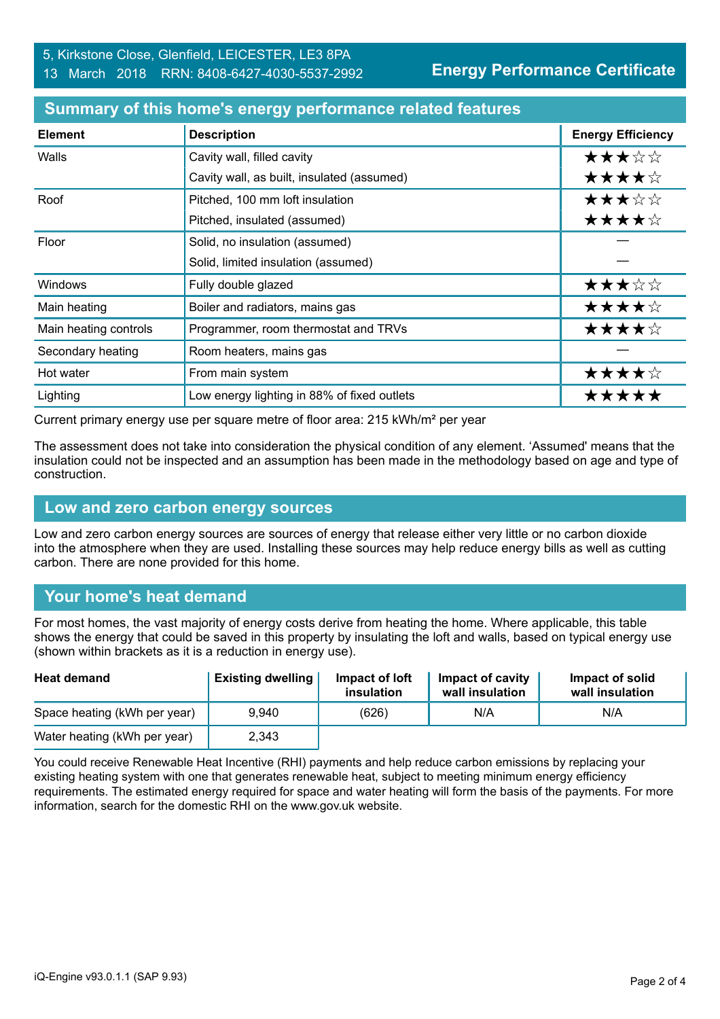| <b>Element</b>        | <b>Description</b>                          | <b>Energy Efficiency</b> |
|-----------------------|---------------------------------------------|--------------------------|
| Walls                 | Cavity wall, filled cavity                  | ★★★☆☆                    |
|                       | Cavity wall, as built, insulated (assumed)  | ★★★★☆                    |
| Roof                  | Pitched, 100 mm loft insulation             | ★★★☆☆                    |
|                       | Pitched, insulated (assumed)                | ★★★★☆                    |
| Floor                 | Solid, no insulation (assumed)              |                          |
|                       | Solid, limited insulation (assumed)         |                          |
| Windows               | Fully double glazed                         | ★★★☆☆                    |
| Main heating          | Boiler and radiators, mains gas             | ★★★★☆                    |
| Main heating controls | Programmer, room thermostat and TRVs        | ★★★★☆                    |
| Secondary heating     | Room heaters, mains gas                     |                          |
| Hot water             | From main system                            | ★★★★☆                    |
| Lighting              | Low energy lighting in 88% of fixed outlets | *****                    |

#### **Summary of this home's energy performance related features**

Current primary energy use per square metre of floor area: 215 kWh/m² per year

The assessment does not take into consideration the physical condition of any element. 'Assumed' means that the insulation could not be inspected and an assumption has been made in the methodology based on age and type of construction.

#### **Low and zero carbon energy sources**

Low and zero carbon energy sources are sources of energy that release either very little or no carbon dioxide into the atmosphere when they are used. Installing these sources may help reduce energy bills as well as cutting carbon. There are none provided for this home.

# **Your home's heat demand**

For most homes, the vast majority of energy costs derive from heating the home. Where applicable, this table shows the energy that could be saved in this property by insulating the loft and walls, based on typical energy use (shown within brackets as it is a reduction in energy use).

| <b>Heat demand</b>           | <b>Existing dwelling</b> | Impact of loft<br>insulation | <b>Impact of cavity</b><br>wall insulation | Impact of solid<br>wall insulation |
|------------------------------|--------------------------|------------------------------|--------------------------------------------|------------------------------------|
| Space heating (kWh per year) | 9.940                    | (626)                        | N/A                                        | N/A                                |
| Water heating (kWh per year) | 2,343                    |                              |                                            |                                    |

You could receive Renewable Heat Incentive (RHI) payments and help reduce carbon emissions by replacing your existing heating system with one that generates renewable heat, subject to meeting minimum energy efficiency requirements. The estimated energy required for space and water heating will form the basis of the payments. For more information, search for the domestic RHI on the www.gov.uk website.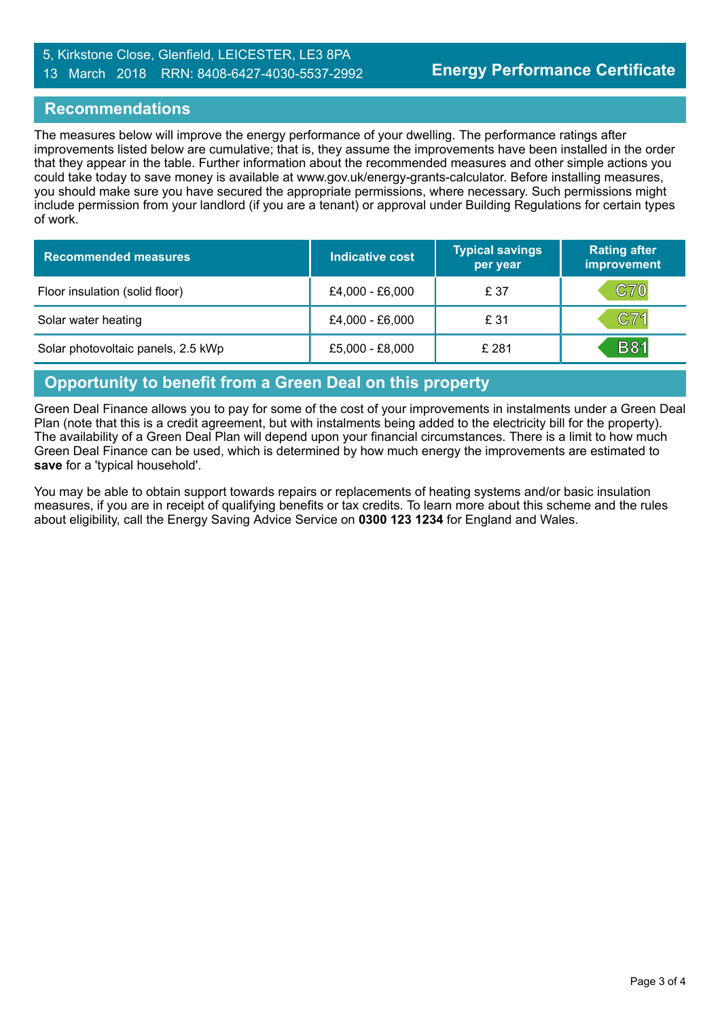# 5, Kirkstone Close, Glenfield, LEICESTER, LE3 8PA 13 March 2018 RRN: 8408-6427-4030-5537-2992

# **Recommendations**

The measures below will improve the energy performance of your dwelling. The performance ratings after improvements listed below are cumulative; that is, they assume the improvements have been installed in the order that they appear in the table. Further information about the recommended measures and other simple actions you could take today to save money is available at www.gov.uk/energy-grants-calculator. Before installing measures, you should make sure you have secured the appropriate permissions, where necessary. Such permissions might include permission from your landlord (if you are a tenant) or approval under Building Regulations for certain types of work.

| <b>Recommended measures</b>        | <b>Indicative cost</b> | <b>Typical savings</b><br>per year | <b>Rating after</b><br>improvement |
|------------------------------------|------------------------|------------------------------------|------------------------------------|
| Floor insulation (solid floor)     | £4,000 - £6,000        | £ 37                               | <b>C70</b>                         |
| Solar water heating                | £4,000 - £6,000        | £ 31                               | C71                                |
| Solar photovoltaic panels, 2.5 kWp | £5,000 - £8,000        | £ 281                              | <b>B81</b>                         |

# **Opportunity to benefit from a Green Deal on this property**

Green Deal Finance allows you to pay for some of the cost of your improvements in instalments under a Green Deal Plan (note that this is a credit agreement, but with instalments being added to the electricity bill for the property). The availability of a Green Deal Plan will depend upon your financial circumstances. There is a limit to how much Green Deal Finance can be used, which is determined by how much energy the improvements are estimated to **save** for a 'typical household'.

You may be able to obtain support towards repairs or replacements of heating systems and/or basic insulation measures, if you are in receipt of qualifying benefits or tax credits. To learn more about this scheme and the rules about eligibility, call the Energy Saving Advice Service on **0300 123 1234** for England and Wales.